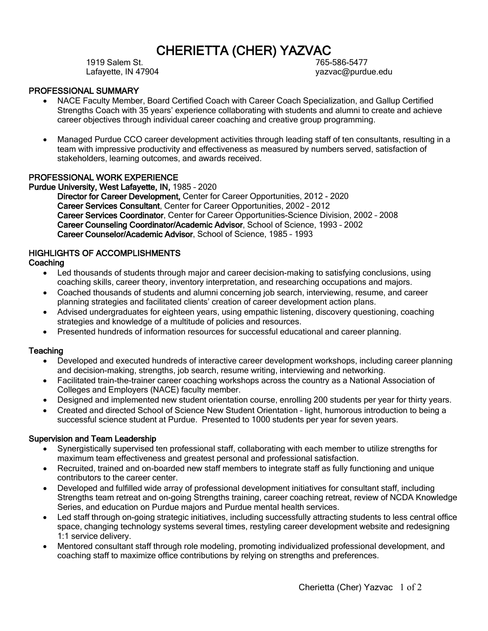# **CHERIETTA (CHER) YAZVAC**<br>765-586-5477<br>765-586-5477

Lafayette, IN 47904 yazvac@purdue.edu

#### PROFESSIONAL SUMMARY

- NACE Faculty Member, Board Certified Coach with Career Coach Specialization, and Gallup Certified Strengths Coach with 35 years' experience collaborating with students and alumni to create and achieve career objectives through individual career coaching and creative group programming.
- Managed Purdue CCO career development activities through leading staff of ten consultants, resulting in a team with impressive productivity and effectiveness as measured by numbers served, satisfaction of stakeholders, learning outcomes, and awards received.

#### PROFESSIONAL WORK EXPERIENCE

Purdue University, West Lafayette, IN, 1985 – 2020

Director for Career Development, Center for Career Opportunities, 2012 - 2020 Career Services Consultant, Center for Career Opportunities, 2002 – 2012 Career Services Coordinator, Center for Career Opportunities-Science Division, 2002 – 2008 Career Counseling Coordinator/Academic Advisor, School of Science, 1993 – 2002 Career Counselor/Academic Advisor, School of Science, 1985 – 1993

# HIGHLIGHTS OF ACCOMPLISHMENTS

#### **Coaching**

- Led thousands of students through major and career decision-making to satisfying conclusions, using coaching skills, career theory, inventory interpretation, and researching occupations and majors.
- Coached thousands of students and alumni concerning job search, interviewing, resume, and career planning strategies and facilitated clients' creation of career development action plans.
- Advised undergraduates for eighteen years, using empathic listening, discovery questioning, coaching strategies and knowledge of a multitude of policies and resources.
- Presented hundreds of information resources for successful educational and career planning.

#### **Teaching**

- Developed and executed hundreds of interactive career development workshops, including career planning and decision-making, strengths, job search, resume writing, interviewing and networking.
- Facilitated train-the-trainer career coaching workshops across the country as a National Association of Colleges and Employers (NACE) faculty member.
- Designed and implemented new student orientation course, enrolling 200 students per year for thirty years.
- Created and directed School of Science New Student Orientation light, humorous introduction to being a successful science student at Purdue. Presented to 1000 students per year for seven years.

#### Supervision and Team Leadership

- Synergistically supervised ten professional staff, collaborating with each member to utilize strengths for maximum team effectiveness and greatest personal and professional satisfaction.
- Recruited, trained and on-boarded new staff members to integrate staff as fully functioning and unique contributors to the career center.
- Developed and fulfilled wide array of professional development initiatives for consultant staff, including Strengths team retreat and on-going Strengths training, career coaching retreat, review of NCDA Knowledge Series, and education on Purdue majors and Purdue mental health services.
- Led staff through on-going strategic initiatives, including successfully attracting students to less central office space, changing technology systems several times, restyling career development website and redesigning 1:1 service delivery.
- Mentored consultant staff through role modeling, promoting individualized professional development, and coaching staff to maximize office contributions by relying on strengths and preferences.